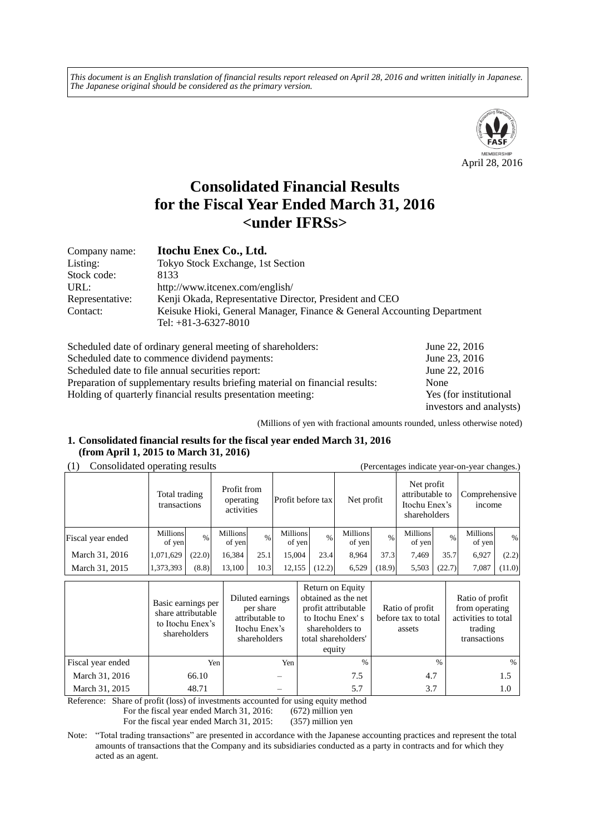*This document is an English translation of financial results report released on April 28, 2016 and written initially in Japanese. The Japanese original should be considered as the primary version.*



# **Consolidated Financial Results for the Fiscal Year Ended March 31, 2016 <under IFRSs>**

| Company name:   | Itochu Enex Co., Ltd.                                                                             |
|-----------------|---------------------------------------------------------------------------------------------------|
| Listing:        | Tokyo Stock Exchange, 1st Section                                                                 |
| Stock code:     | 8133                                                                                              |
| URL:            | http://www.itcenex.com/english/                                                                   |
| Representative: | Kenji Okada, Representative Director, President and CEO                                           |
| Contact:        | Keisuke Hioki, General Manager, Finance & General Accounting Department<br>Tel: $+81-3-6327-8010$ |

| Scheduled date of ordinary general meeting of shareholders:                  | June 22, 2016           |
|------------------------------------------------------------------------------|-------------------------|
| Scheduled date to commence dividend payments:                                | June 23, 2016           |
| Scheduled date to file annual securities report:                             | June 22, 2016           |
| Preparation of supplementary results briefing material on financial results: | None                    |
| Holding of quarterly financial results presentation meeting:                 | Yes (for institutional  |
|                                                                              | investors and analysts) |

(Millions of yen with fractional amounts rounded, unless otherwise noted)

## **1. Consolidated financial results for the fiscal year ended March 31, 2016 (from April 1, 2015 to March 31, 2016)**

(1) Consolidated operating results (Percentages indicate year-on-year changes.)

| (1)<br>$\alpha$ credinages indicate year-on-year enanges.) |                           |                                                                         |                    |      |                           |                   |                           |        |                    |               |                    |            |  |                                                                |  |                                |  |
|------------------------------------------------------------|---------------------------|-------------------------------------------------------------------------|--------------------|------|---------------------------|-------------------|---------------------------|--------|--------------------|---------------|--------------------|------------|--|----------------------------------------------------------------|--|--------------------------------|--|
|                                                            |                           | Profit from<br>Total trading<br>operating<br>transactions<br>activities |                    |      |                           | Profit before tax |                           |        |                    |               |                    | Net profit |  | Net profit<br>attributable to<br>Itochu Enex's<br>shareholders |  | Comprehensive<br><i>n</i> come |  |
| Fiscal year ended                                          | <b>Millions</b><br>of yen | $\frac{0}{0}$                                                           | Millions<br>of yen | $\%$ | <b>Millions</b><br>of yen | $\%$              | <b>Millions</b><br>of yen | $\%$   | Millions<br>of yen | $\frac{0}{0}$ | Millions<br>of yen | %          |  |                                                                |  |                                |  |
| March 31, 2016                                             | 1,071,629                 | (22.0)                                                                  | 16,384             | 25.1 | 15.004                    | 23.4              | 8.964                     | 37.3   | 7.469              | 35.7          | 6.927              | (2.2)      |  |                                                                |  |                                |  |
| March 31, 2015                                             | 1,373,393                 | (8.8)                                                                   | 13,100             | 10.3 | 12,155                    | (12.2)            | 6,529                     | (18.9) | 5,503              | (22.7)        | 7.087              | (11.0)     |  |                                                                |  |                                |  |

|                   | Basic earnings per<br>share attributable<br>to Itochu Enex's<br>shareholders | Diluted earnings<br>per share<br>attributable to<br>Itochu Enex's<br>shareholders | Return on Equity<br>obtained as the net<br>profit attributable<br>to Itochu Enex's<br>shareholders to<br>total shareholders'<br>equity | Ratio of profit<br>before tax to total<br>assets | Ratio of profit<br>from operating<br>activities to total<br>trading<br>transactions |
|-------------------|------------------------------------------------------------------------------|-----------------------------------------------------------------------------------|----------------------------------------------------------------------------------------------------------------------------------------|--------------------------------------------------|-------------------------------------------------------------------------------------|
| Fiscal year ended | Yen                                                                          | Yen                                                                               | $\%$                                                                                                                                   | $\frac{0}{0}$                                    | $\%$                                                                                |
| March 31, 2016    | 66.10                                                                        |                                                                                   | 7.5                                                                                                                                    | 4.7                                              | 1.5                                                                                 |
| March 31, 2015    | 48.71                                                                        |                                                                                   | 5.7                                                                                                                                    | 3.7                                              | 1.0                                                                                 |

Reference: Share of profit (loss) of investments accounted for using equity method

For the fiscal year ended March 31, 2016: (672) million yen

For the fiscal year ended March 31, 2015: (357) million yen

Note: "Total trading transactions" are presented in accordance with the Japanese accounting practices and represent the total amounts of transactions that the Company and its subsidiaries conducted as a party in contracts and for which they acted as an agent.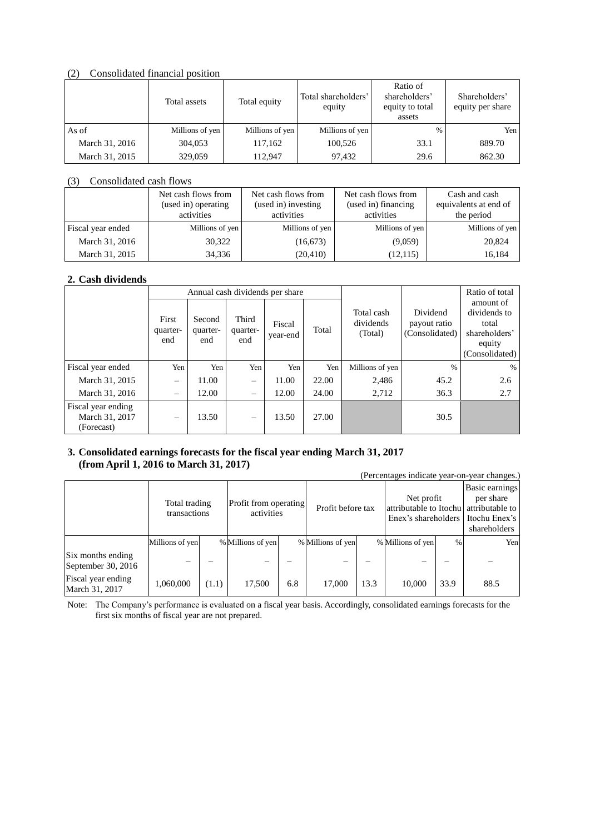## (2) Consolidated financial position

|                | Total assets    |                 | Total shareholders'<br>equity | Ratio of<br>shareholders'<br>equity to total<br>assets | Shareholders'<br>equity per share |
|----------------|-----------------|-----------------|-------------------------------|--------------------------------------------------------|-----------------------------------|
| As of          | Millions of yen | Millions of yen | Millions of yen               | $\frac{0}{0}$                                          | Yen                               |
| March 31, 2016 | 304,053         | 117,162         | 100,526                       | 33.1                                                   | 889.70                            |
| March 31, 2015 | 329,059         | 112,947         | 97,432                        | 29.6                                                   | 862.30                            |

#### (3) Consolidated cash flows

|                   | Net cash flows from<br>(used in) operating<br>activities | Net cash flows from<br>(used in) investing<br>activities | Net cash flows from<br>(used in) financing<br>activities | Cash and cash<br>equivalents at end of<br>the period |  |
|-------------------|----------------------------------------------------------|----------------------------------------------------------|----------------------------------------------------------|------------------------------------------------------|--|
| Fiscal year ended | Millions of yen                                          | Millions of yen                                          | Millions of yen                                          | Millions of yen                                      |  |
| March 31, 2016    | 30,322                                                   | (16,673)                                                 | (9,059)                                                  | 20,824                                               |  |
| March 31, 2015    | 34,336                                                   | (20, 410)                                                | (12, 115)                                                | 16,184                                               |  |

# **2. Cash dividends**

|                                                    |                          |                           |                          | Annual cash dividends per share |       |                                    | Ratio of total                             |                                                                                 |
|----------------------------------------------------|--------------------------|---------------------------|--------------------------|---------------------------------|-------|------------------------------------|--------------------------------------------|---------------------------------------------------------------------------------|
|                                                    | First<br>quarter-<br>end | Second<br>quarter-<br>end | Third<br>quarter-<br>end | Fiscal<br>year-end              | Total | Total cash<br>dividends<br>(Total) | Dividend<br>payout ratio<br>(Consolidated) | amount of<br>dividends to<br>total<br>shareholders'<br>equity<br>(Consolidated) |
| Fiscal year ended                                  | Yen                      | Yen                       | Yen                      | Yen                             | Yen   | Millions of yen                    | $\frac{0}{0}$                              | $\%$                                                                            |
| March 31, 2015                                     | $\overline{\phantom{0}}$ | 11.00                     | -                        | 11.00                           | 22.00 | 2,486                              | 45.2                                       | 2.6                                                                             |
| March 31, 2016                                     | $\qquad \qquad -$        | 12.00                     | -                        | 12.00                           | 24.00 | 2,712                              | 36.3                                       | 2.7                                                                             |
| Fiscal year ending<br>March 31, 2017<br>(Forecast) | $\qquad \qquad -$        | 13.50                     |                          | 13.50                           | 27.00 |                                    | 30.5                                       |                                                                                 |

# **3. Consolidated earnings forecasts for the fiscal year ending March 31, 2017 (from April 1, 2016 to March 31, 2017)**

|                                         | (Percentages indicate year-on-year changes.) |       |                                     |     |                   |      |                                                                             |      |                                                              |  |
|-----------------------------------------|----------------------------------------------|-------|-------------------------------------|-----|-------------------|------|-----------------------------------------------------------------------------|------|--------------------------------------------------------------|--|
|                                         | Total trading<br>transactions                |       | Profit from operating<br>activities |     | Profit before tax |      | Net profit<br>attributable to Itochu attributable to<br>Enex's shareholders |      | Basic earnings<br>per share<br>Itochu Enex's<br>shareholders |  |
|                                         | Millions of yen                              |       | % Millions of yen                   |     | % Millions of yen |      | % Millions of yen                                                           | $\%$ | Yen                                                          |  |
| Six months ending<br>September 30, 2016 |                                              |       |                                     |     |                   |      |                                                                             |      |                                                              |  |
| Fiscal year ending<br>March 31, 2017    | 1,060,000                                    | (1.1) | 17,500                              | 6.8 | 17,000            | 13.3 | 10,000                                                                      | 33.9 | 88.5                                                         |  |

Note: The Company's performance is evaluated on a fiscal year basis. Accordingly, consolidated earnings forecasts for the first six months of fiscal year are not prepared.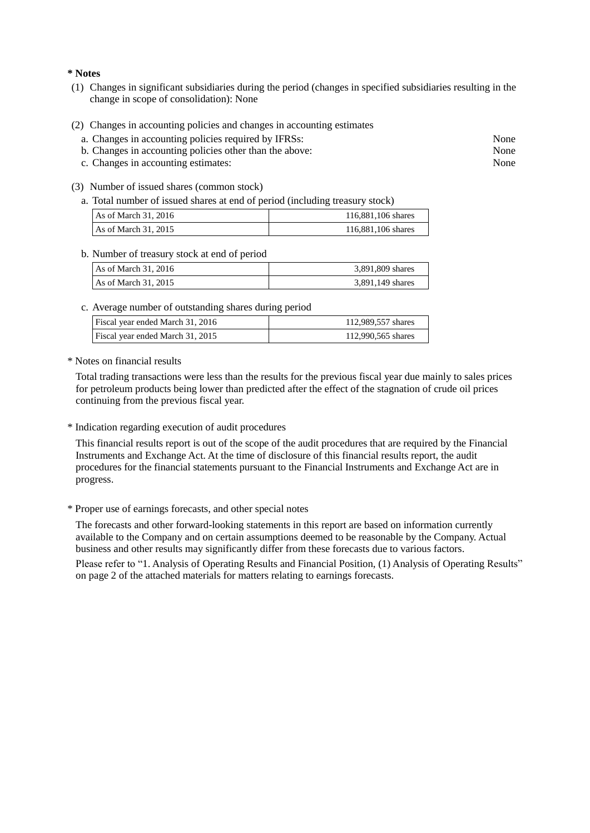#### **\* Notes**

- (1) Changes in significant subsidiaries during the period (changes in specified subsidiaries resulting in the change in scope of consolidation): None
- (2) Changes in accounting policies and changes in accounting estimates
	- a. Changes in accounting policies required by IFRSs: None
	- b. Changes in accounting policies other than the above: None
	- c. Changes in accounting estimates: None
- (3) Number of issued shares (common stock)
	- a. Total number of issued shares at end of period (including treasury stock)

| As of March $31, 2016$ | 116,881,106 shares |
|------------------------|--------------------|
| As of March $31, 2015$ | 116,881,106 shares |

#### b. Number of treasury stock at end of period

| As of March $31, 2016$ | 3,891,809 shares |
|------------------------|------------------|
| As of March 31. 2015   | 3,891,149 shares |

#### c. Average number of outstanding shares during period

| Fiscal year ended March 31, 2016 | 112,989,557 shares |
|----------------------------------|--------------------|
| Fiscal year ended March 31, 2015 | 112,990,565 shares |

\* Notes on financial results

Total trading transactions were less than the results for the previous fiscal year due mainly to sales prices for petroleum products being lower than predicted after the effect of the stagnation of crude oil prices continuing from the previous fiscal year.

\* Indication regarding execution of audit procedures

This financial results report is out of the scope of the audit procedures that are required by the Financial Instruments and Exchange Act. At the time of disclosure of this financial results report, the audit procedures for the financial statements pursuant to the Financial Instruments and Exchange Act are in progress.

\* Proper use of earnings forecasts, and other special notes

The forecasts and other forward-looking statements in this report are based on information currently available to the Company and on certain assumptions deemed to be reasonable by the Company. Actual business and other results may significantly differ from these forecasts due to various factors.

Please refer to "1. Analysis of Operating Results and Financial Position, (1) Analysis of Operating Results" on page [2](#page-4-0) of the attached materials for matters relating to earnings forecasts.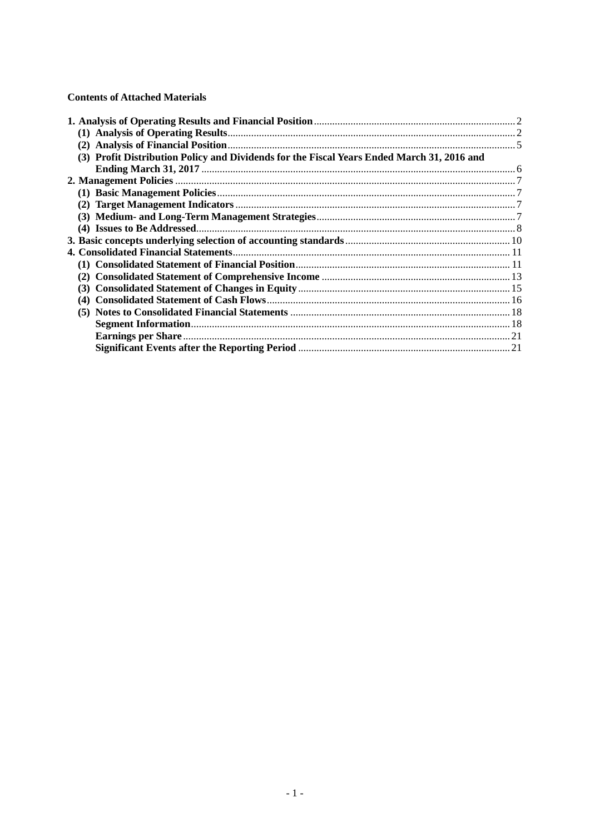# **Contents of Attached Materials**

| (3) Profit Distribution Policy and Dividends for the Fiscal Years Ended March 31, 2016 and |  |
|--------------------------------------------------------------------------------------------|--|
|                                                                                            |  |
|                                                                                            |  |
|                                                                                            |  |
|                                                                                            |  |
|                                                                                            |  |
|                                                                                            |  |
|                                                                                            |  |
|                                                                                            |  |
|                                                                                            |  |
|                                                                                            |  |
|                                                                                            |  |
|                                                                                            |  |
|                                                                                            |  |
|                                                                                            |  |
|                                                                                            |  |
|                                                                                            |  |
|                                                                                            |  |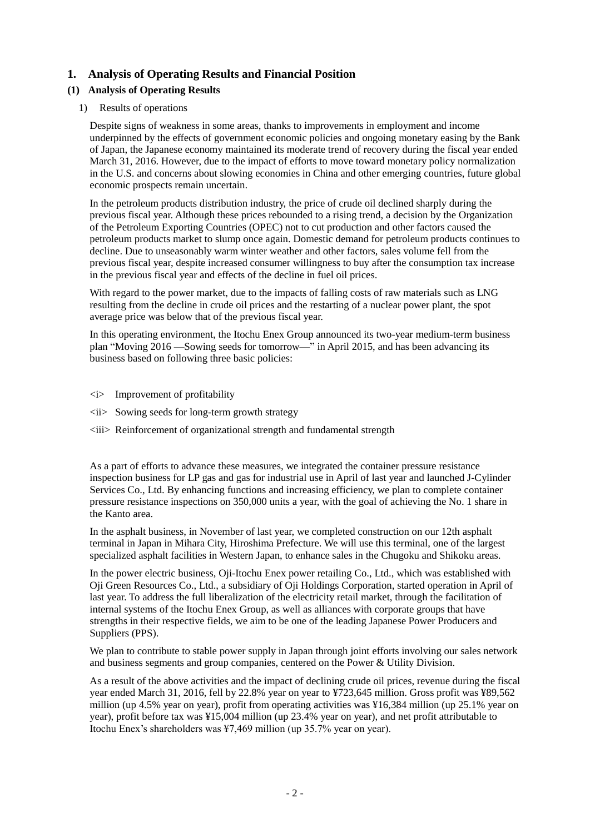# <span id="page-4-0"></span>**1. Analysis of Operating Results and Financial Position**

# <span id="page-4-1"></span>**(1) Analysis of Operating Results**

# 1) Results of operations

Despite signs of weakness in some areas, thanks to improvements in employment and income underpinned by the effects of government economic policies and ongoing monetary easing by the Bank of Japan, the Japanese economy maintained its moderate trend of recovery during the fiscal year ended March 31, 2016. However, due to the impact of efforts to move toward monetary policy normalization in the U.S. and concerns about slowing economies in China and other emerging countries, future global economic prospects remain uncertain.

In the petroleum products distribution industry, the price of crude oil declined sharply during the previous fiscal year. Although these prices rebounded to a rising trend, a decision by the Organization of the Petroleum Exporting Countries (OPEC) not to cut production and other factors caused the petroleum products market to slump once again. Domestic demand for petroleum products continues to decline. Due to unseasonably warm winter weather and other factors, sales volume fell from the previous fiscal year, despite increased consumer willingness to buy after the consumption tax increase in the previous fiscal year and effects of the decline in fuel oil prices.

With regard to the power market, due to the impacts of falling costs of raw materials such as LNG resulting from the decline in crude oil prices and the restarting of a nuclear power plant, the spot average price was below that of the previous fiscal year.

In this operating environment, the Itochu Enex Group announced its two-year medium-term business plan "Moving  $2016$  —Sowing seeds for tomorrow—" in April 2015, and has been advancing its business based on following three basic policies:

- <i> Improvement of profitability
- $\langle ii \rangle$  Sowing seeds for long-term growth strategy
- $\langle iii\rangle$  Reinforcement of organizational strength and fundamental strength

As a part of efforts to advance these measures, we integrated the container pressure resistance inspection business for LP gas and gas for industrial use in April of last year and launched J-Cylinder Services Co., Ltd. By enhancing functions and increasing efficiency, we plan to complete container pressure resistance inspections on 350,000 units a year, with the goal of achieving the No. 1 share in the Kanto area.

In the asphalt business, in November of last year, we completed construction on our 12th asphalt terminal in Japan in Mihara City, Hiroshima Prefecture. We will use this terminal, one of the largest specialized asphalt facilities in Western Japan, to enhance sales in the Chugoku and Shikoku areas.

In the power electric business, Oji-Itochu Enex power retailing Co., Ltd., which was established with Oji Green Resources Co., Ltd., a subsidiary of Oji Holdings Corporation, started operation in April of last year. To address the full liberalization of the electricity retail market, through the facilitation of internal systems of the Itochu Enex Group, as well as alliances with corporate groups that have strengths in their respective fields, we aim to be one of the leading Japanese Power Producers and Suppliers (PPS).

We plan to contribute to stable power supply in Japan through joint efforts involving our sales network and business segments and group companies, centered on the Power & Utility Division.

As a result of the above activities and the impact of declining crude oil prices, revenue during the fiscal year ended March 31, 2016, fell by 22.8% year on year to ¥723,645 million. Gross profit was ¥89,562 million (up 4.5% year on year), profit from operating activities was ¥16,384 million (up 25.1% year on year), profit before tax was ¥15,004 million (up 23.4% year on year), and net profit attributable to Itochu Enex's shareholders was ¥7,469 million (up 35.7% year on year).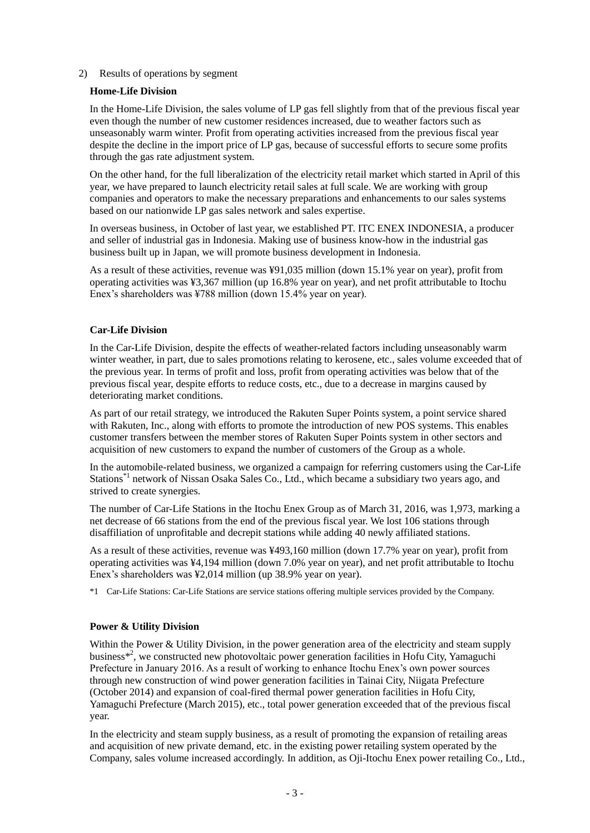# 2) Results of operations by segment

### **Home-Life Division**

In the Home-Life Division, the sales volume of LP gas fell slightly from that of the previous fiscal year even though the number of new customer residences increased, due to weather factors such as unseasonably warm winter. Profit from operating activities increased from the previous fiscal year despite the decline in the import price of LP gas, because of successful efforts to secure some profits through the gas rate adjustment system.

On the other hand, for the full liberalization of the electricity retail market which started in April of this year, we have prepared to launch electricity retail sales at full scale. We are working with group companies and operators to make the necessary preparations and enhancements to our sales systems based on our nationwide LP gas sales network and sales expertise.

In overseas business, in October of last year, we established PT. ITC ENEX INDONESIA, a producer and seller of industrial gas in Indonesia. Making use of business know-how in the industrial gas business built up in Japan, we will promote business development in Indonesia.

As a result of these activities, revenue was ¥91,035 million (down 15.1% year on year), profit from operating activities was ¥3,367 million (up 16.8% year on year), and net profit attributable to Itochu Enex's shareholders was ¥788 million (down 15.4% year on year).

#### **Car-Life Division**

In the Car-Life Division, despite the effects of weather-related factors including unseasonably warm winter weather, in part, due to sales promotions relating to kerosene, etc., sales volume exceeded that of the previous year. In terms of profit and loss, profit from operating activities was below that of the previous fiscal year, despite efforts to reduce costs, etc., due to a decrease in margins caused by deteriorating market conditions.

As part of our retail strategy, we introduced the Rakuten Super Points system, a point service shared with Rakuten, Inc., along with efforts to promote the introduction of new POS systems. This enables customer transfers between the member stores of Rakuten Super Points system in other sectors and acquisition of new customers to expand the number of customers of the Group as a whole.

In the automobile-related business, we organized a campaign for referring customers using the Car-Life Stations\*1 network of Nissan Osaka Sales Co., Ltd., which became a subsidiary two years ago, and strived to create synergies.

The number of Car-Life Stations in the Itochu Enex Group as of March 31, 2016, was 1,973, marking a net decrease of 66 stations from the end of the previous fiscal year. We lost 106 stations through disaffiliation of unprofitable and decrepit stations while adding 40 newly affiliated stations.

As a result of these activities, revenue was ¥493,160 million (down 17.7% year on year), profit from operating activities was ¥4,194 million (down 7.0% year on year), and net profit attributable to Itochu Enex's shareholders was ¥2,014 million (up 38.9% year on year).

\*1 Car-Life Stations: Car-Life Stations are service stations offering multiple services provided by the Company.

#### **Power & Utility Division**

Within the Power & Utility Division, in the power generation area of the electricity and steam supply business<sup>\*2</sup>, we constructed new photovoltaic power generation facilities in Hofu City, Yamaguchi Prefecture in January 2016. As a result of working to enhance Itochu Enex's own power sources through new construction of wind power generation facilities in Tainai City, Niigata Prefecture (October 2014) and expansion of coal-fired thermal power generation facilities in Hofu City, Yamaguchi Prefecture (March 2015), etc., total power generation exceeded that of the previous fiscal year.

In the electricity and steam supply business, as a result of promoting the expansion of retailing areas and acquisition of new private demand, etc. in the existing power retailing system operated by the Company, sales volume increased accordingly. In addition, as Oji-Itochu Enex power retailing Co., Ltd.,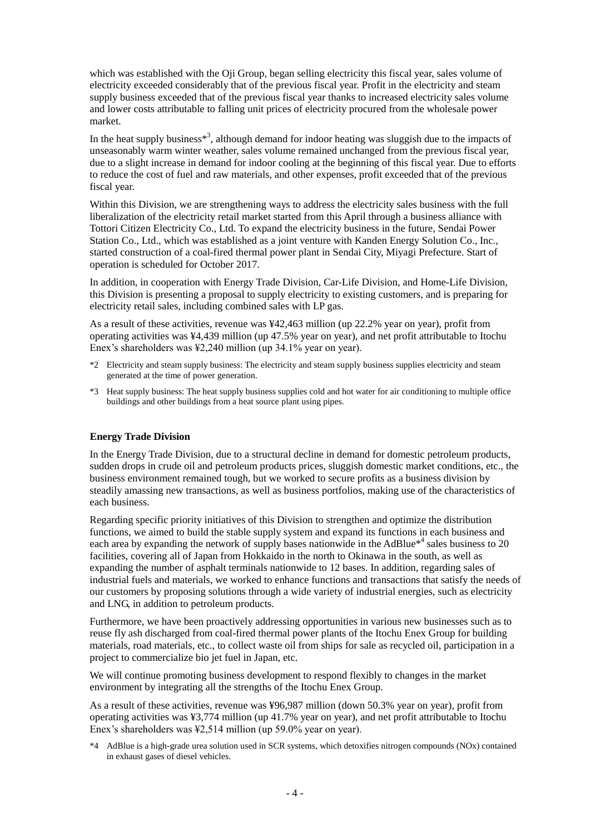which was established with the Oji Group, began selling electricity this fiscal year, sales volume of electricity exceeded considerably that of the previous fiscal year. Profit in the electricity and steam supply business exceeded that of the previous fiscal year thanks to increased electricity sales volume and lower costs attributable to falling unit prices of electricity procured from the wholesale power market.

In the heat supply business\*<sup>3</sup>, although demand for indoor heating was sluggish due to the impacts of unseasonably warm winter weather, sales volume remained unchanged from the previous fiscal year, due to a slight increase in demand for indoor cooling at the beginning of this fiscal year. Due to efforts to reduce the cost of fuel and raw materials, and other expenses, profit exceeded that of the previous fiscal year.

Within this Division, we are strengthening ways to address the electricity sales business with the full liberalization of the electricity retail market started from this April through a business alliance with Tottori Citizen Electricity Co., Ltd. To expand the electricity business in the future, Sendai Power Station Co., Ltd., which was established as a joint venture with Kanden Energy Solution Co., Inc., started construction of a coal-fired thermal power plant in Sendai City, Miyagi Prefecture. Start of operation is scheduled for October 2017.

In addition, in cooperation with Energy Trade Division, Car-Life Division, and Home-Life Division, this Division is presenting a proposal to supply electricity to existing customers, and is preparing for electricity retail sales, including combined sales with LP gas.

As a result of these activities, revenue was ¥42,463 million (up 22.2% year on year), profit from operating activities was ¥4,439 million (up 47.5% year on year), and net profit attributable to Itochu Enex's shareholders was ¥2,240 million (up 34.1% year on year).

- \*2 Electricity and steam supply business: The electricity and steam supply business supplies electricity and steam generated at the time of power generation.
- \*3 Heat supply business: The heat supply business supplies cold and hot water for air conditioning to multiple office buildings and other buildings from a heat source plant using pipes.

#### **Energy Trade Division**

In the Energy Trade Division, due to a structural decline in demand for domestic petroleum products, sudden drops in crude oil and petroleum products prices, sluggish domestic market conditions, etc., the business environment remained tough, but we worked to secure profits as a business division by steadily amassing new transactions, as well as business portfolios, making use of the characteristics of each business.

Regarding specific priority initiatives of this Division to strengthen and optimize the distribution functions, we aimed to build the stable supply system and expand its functions in each business and each area by expanding the network of supply bases nationwide in the AdBlue $*$ <sup>4</sup> sales business to 20 facilities, covering all of Japan from Hokkaido in the north to Okinawa in the south, as well as expanding the number of asphalt terminals nationwide to 12 bases. In addition, regarding sales of industrial fuels and materials, we worked to enhance functions and transactions that satisfy the needs of our customers by proposing solutions through a wide variety of industrial energies, such as electricity and LNG, in addition to petroleum products.

Furthermore, we have been proactively addressing opportunities in various new businesses such as to reuse fly ash discharged from coal-fired thermal power plants of the Itochu Enex Group for building materials, road materials, etc., to collect waste oil from ships for sale as recycled oil, participation in a project to commercialize bio jet fuel in Japan, etc.

We will continue promoting business development to respond flexibly to changes in the market environment by integrating all the strengths of the Itochu Enex Group.

As a result of these activities, revenue was ¥96,987 million (down 50.3% year on year), profit from operating activities was ¥3,774 million (up 41.7% year on year), and net profit attributable to Itochu Enex's shareholders was ¥2,514 million (up 59.0% year on year).

\*4 AdBlue is a high-grade urea solution used in SCR systems, which detoxifies nitrogen compounds (NOx) contained in exhaust gases of diesel vehicles.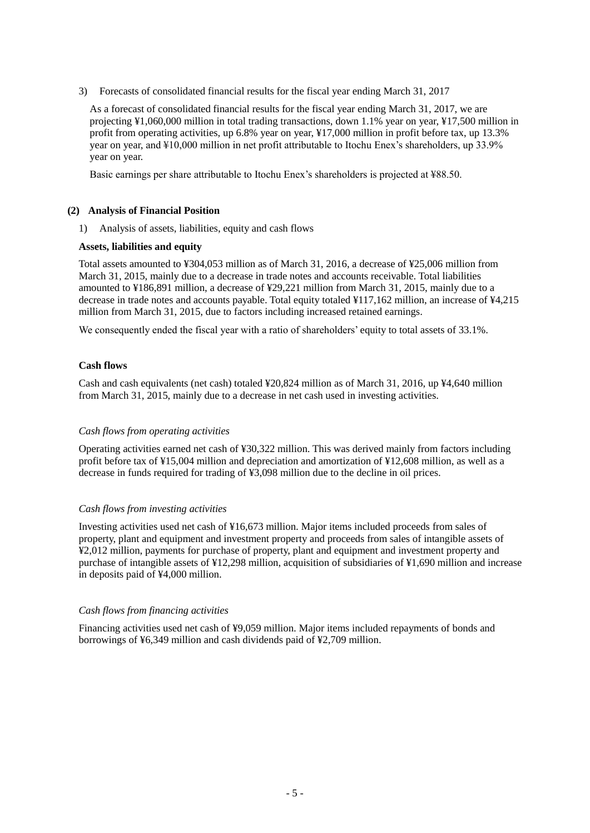3) Forecasts of consolidated financial results for the fiscal year ending March 31, 2017

As a forecast of consolidated financial results for the fiscal year ending March 31, 2017, we are projecting ¥1,060,000 million in total trading transactions, down 1.1% year on year, ¥17,500 million in profit from operating activities, up 6.8% year on year, ¥17,000 million in profit before tax, up 13.3% year on year, and ¥10,000 million in net profit attributable to Itochu Enex's shareholders, up 33.9% year on year.

Basic earnings per share attributable to Itochu Enex's shareholders is projected at ¥88.50.

# <span id="page-7-0"></span>**(2) Analysis of Financial Position**

1) Analysis of assets, liabilities, equity and cash flows

#### **Assets, liabilities and equity**

Total assets amounted to ¥304,053 million as of March 31, 2016, a decrease of ¥25,006 million from March 31, 2015, mainly due to a decrease in trade notes and accounts receivable. Total liabilities amounted to ¥186,891 million, a decrease of ¥29,221 million from March 31, 2015, mainly due to a decrease in trade notes and accounts payable. Total equity totaled ¥117,162 million, an increase of ¥4,215 million from March 31, 2015, due to factors including increased retained earnings.

We consequently ended the fiscal year with a ratio of shareholders' equity to total assets of 33.1%.

#### **Cash flows**

Cash and cash equivalents (net cash) totaled ¥20,824 million as of March 31, 2016, up ¥4,640 million from March 31, 2015, mainly due to a decrease in net cash used in investing activities.

#### *Cash flows from operating activities*

Operating activities earned net cash of ¥30,322 million. This was derived mainly from factors including profit before tax of ¥15,004 million and depreciation and amortization of ¥12,608 million, as well as a decrease in funds required for trading of ¥3,098 million due to the decline in oil prices.

# *Cash flows from investing activities*

Investing activities used net cash of ¥16,673 million. Major items included proceeds from sales of property, plant and equipment and investment property and proceeds from sales of intangible assets of ¥2,012 million, payments for purchase of property, plant and equipment and investment property and purchase of intangible assets of ¥12,298 million, acquisition of subsidiaries of ¥1,690 million and increase in deposits paid of ¥4,000 million.

# *Cash flows from financing activities*

Financing activities used net cash of ¥9,059 million. Major items included repayments of bonds and borrowings of ¥6,349 million and cash dividends paid of ¥2,709 million.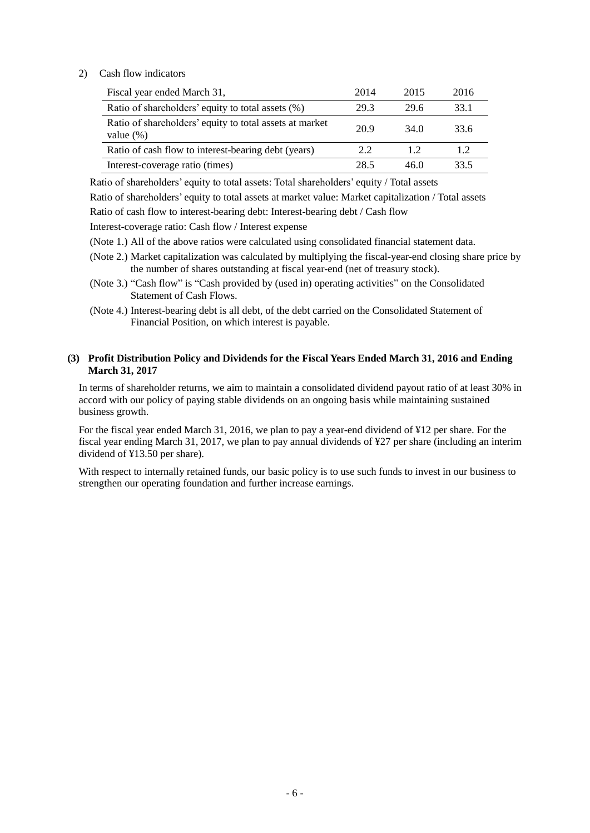# 2) Cash flow indicators

| Fiscal year ended March 31,                                             | 2014 | 2015 | 2016 |
|-------------------------------------------------------------------------|------|------|------|
| Ratio of shareholders' equity to total assets (%)                       | 29.3 | 29.6 | 33.1 |
| Ratio of shareholders' equity to total assets at market<br>value $(\%)$ | 20.9 | 34.0 | 33.6 |
| Ratio of cash flow to interest-bearing debt (years)                     | 2.2  | 1.2  | 12   |
| Interest-coverage ratio (times)                                         | 28.5 | 46.0 | 33.5 |

Ratio of shareholders' equity to total assets: Total shareholders' equity / Total assets Ratio of shareholders' equity to total assets at market value: Market capitalization / Total assets

Ratio of cash flow to interest-bearing debt: Interest-bearing debt / Cash flow

Interest-coverage ratio: Cash flow / Interest expense

- (Note 1.) All of the above ratios were calculated using consolidated financial statement data.
- (Note 2.) Market capitalization was calculated by multiplying the fiscal-year-end closing share price by the number of shares outstanding at fiscal year-end (net of treasury stock).
- (Note 3.) "Cash flow" is "Cash provided by (used in) operating activities" on the Consolidated Statement of Cash Flows.
- (Note 4.) Interest-bearing debt is all debt, of the debt carried on the Consolidated Statement of Financial Position, on which interest is payable.

# <span id="page-8-0"></span>**(3) Profit Distribution Policy and Dividends for the Fiscal Years Ended March 31, 2016 and Ending March 31, 2017**

In terms of shareholder returns, we aim to maintain a consolidated dividend payout ratio of at least 30% in accord with our policy of paying stable dividends on an ongoing basis while maintaining sustained business growth.

For the fiscal year ended March 31, 2016, we plan to pay a year-end dividend of ¥12 per share. For the fiscal year ending March 31, 2017, we plan to pay annual dividends of ¥27 per share (including an interim dividend of ¥13.50 per share).

With respect to internally retained funds, our basic policy is to use such funds to invest in our business to strengthen our operating foundation and further increase earnings.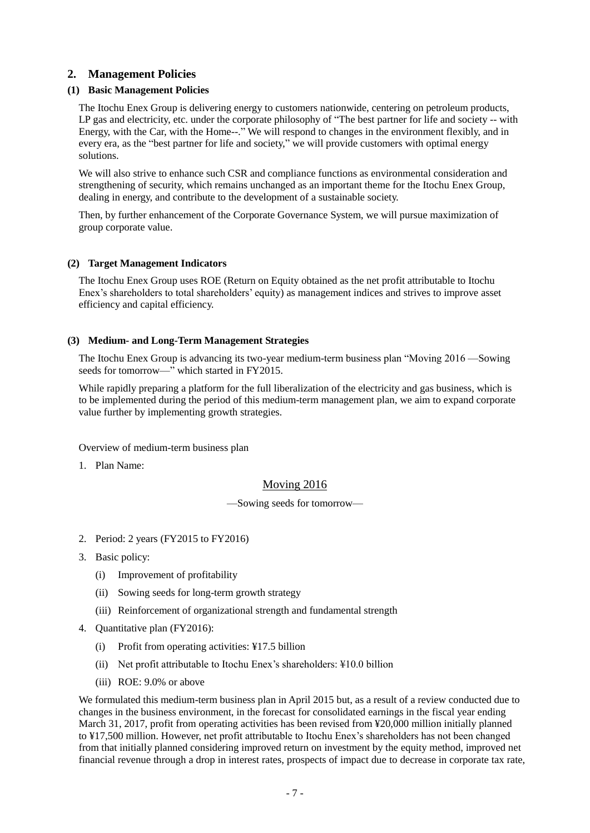# <span id="page-9-0"></span>**2. Management Policies**

# <span id="page-9-1"></span>**(1) Basic Management Policies**

The Itochu Enex Group is delivering energy to customers nationwide, centering on petroleum products, LP gas and electricity, etc. under the corporate philosophy of "The best partner for life and society -- with Energy, with the Car, with the Home--." We will respond to changes in the environment flexibly, and in every era, as the "best partner for life and society," we will provide customers with optimal energy solutions.

We will also strive to enhance such CSR and compliance functions as environmental consideration and strengthening of security, which remains unchanged as an important theme for the Itochu Enex Group, dealing in energy, and contribute to the development of a sustainable society.

Then, by further enhancement of the Corporate Governance System, we will pursue maximization of group corporate value.

# <span id="page-9-2"></span>**(2) Target Management Indicators**

The Itochu Enex Group uses ROE (Return on Equity obtained as the net profit attributable to Itochu Enex's shareholders to total shareholders' equity) as management indices and strives to improve asset efficiency and capital efficiency.

# <span id="page-9-3"></span>**(3) Medium- and Long-Term Management Strategies**

The Itochu Enex Group is advancing its two-year medium-term business plan "Moving 2016 —Sowing seeds for tomorrow—" which started in FY2015.

While rapidly preparing a platform for the full liberalization of the electricity and gas business, which is to be implemented during the period of this medium-term management plan, we aim to expand corporate value further by implementing growth strategies.

Overview of medium-term business plan

1. Plan Name:

# Moving 2016

—Sowing seeds for tomorrow—

- 2. Period: 2 years (FY2015 to FY2016)
- 3. Basic policy:
	- (i) Improvement of profitability
	- (ii) Sowing seeds for long-term growth strategy
	- (iii) Reinforcement of organizational strength and fundamental strength
- 4. Quantitative plan (FY2016):
	- (i) Profit from operating activities: ¥17.5 billion
	- (ii) Net profit attributable to Itochu Enex's shareholders: ¥10.0 billion
	- (iii) ROE: 9.0% or above

We formulated this medium-term business plan in April 2015 but, as a result of a review conducted due to changes in the business environment, in the forecast for consolidated earnings in the fiscal year ending March 31, 2017, profit from operating activities has been revised from ¥20,000 million initially planned to ¥17,500 million. However, net profit attributable to Itochu Enex's shareholders has not been changed from that initially planned considering improved return on investment by the equity method, improved net financial revenue through a drop in interest rates, prospects of impact due to decrease in corporate tax rate,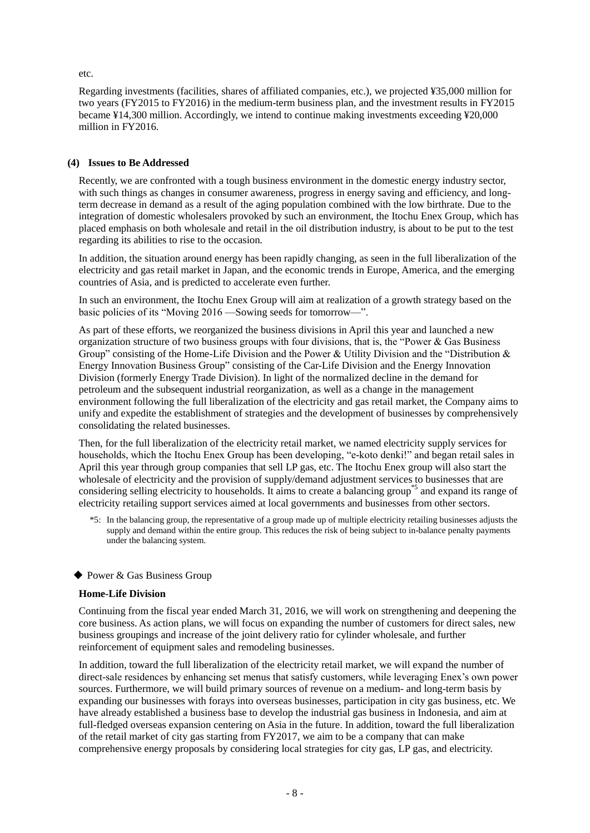etc.

Regarding investments (facilities, shares of affiliated companies, etc.), we projected ¥35,000 million for two years (FY2015 to FY2016) in the medium-term business plan, and the investment results in FY2015 became ¥14,300 million. Accordingly, we intend to continue making investments exceeding ¥20,000 million in FY2016.

# <span id="page-10-0"></span>**(4) Issues to Be Addressed**

Recently, we are confronted with a tough business environment in the domestic energy industry sector, with such things as changes in consumer awareness, progress in energy saving and efficiency, and longterm decrease in demand as a result of the aging population combined with the low birthrate. Due to the integration of domestic wholesalers provoked by such an environment, the Itochu Enex Group, which has placed emphasis on both wholesale and retail in the oil distribution industry, is about to be put to the test regarding its abilities to rise to the occasion.

In addition, the situation around energy has been rapidly changing, as seen in the full liberalization of the electricity and gas retail market in Japan, and the economic trends in Europe, America, and the emerging countries of Asia, and is predicted to accelerate even further.

In such an environment, the Itochu Enex Group will aim at realization of a growth strategy based on the basic policies of its "Moving 2016 —Sowing seeds for tomorrow—".

As part of these efforts, we reorganized the business divisions in April this year and launched a new organization structure of two business groups with four divisions, that is, the "Power  $\&$  Gas Business" Group" consisting of the Home-Life Division and the Power & Utility Division and the "Distribution  $\&$ Energy Innovation Business Group" consisting of the Car-Life Division and the Energy Innovation Division (formerly Energy Trade Division). In light of the normalized decline in the demand for petroleum and the subsequent industrial reorganization, as well as a change in the management environment following the full liberalization of the electricity and gas retail market, the Company aims to unify and expedite the establishment of strategies and the development of businesses by comprehensively consolidating the related businesses.

Then, for the full liberalization of the electricity retail market, we named electricity supply services for households, which the Itochu Enex Group has been developing, "e-koto denki!" and began retail sales in April this year through group companies that sell LP gas, etc. The Itochu Enex group will also start the wholesale of electricity and the provision of supply/demand adjustment services to businesses that are considering selling electricity to households. It aims to create a balancing group<sup>\*5</sup> and expand its range of electricity retailing support services aimed at local governments and businesses from other sectors.

\*5: In the balancing group, the representative of a group made up of multiple electricity retailing businesses adjusts the supply and demand within the entire group. This reduces the risk of being subject to in-balance penalty payments under the balancing system.

# ◆ Power & Gas Business Group

# **Home-Life Division**

Continuing from the fiscal year ended March 31, 2016, we will work on strengthening and deepening the core business. As action plans, we will focus on expanding the number of customers for direct sales, new business groupings and increase of the joint delivery ratio for cylinder wholesale, and further reinforcement of equipment sales and remodeling businesses.

In addition, toward the full liberalization of the electricity retail market, we will expand the number of direct-sale residences by enhancing set menus that satisfy customers, while leveraging Enex's own power sources. Furthermore, we will build primary sources of revenue on a medium- and long-term basis by expanding our businesses with forays into overseas businesses, participation in city gas business, etc. We have already established a business base to develop the industrial gas business in Indonesia, and aim at full-fledged overseas expansion centering on Asia in the future. In addition, toward the full liberalization of the retail market of city gas starting from FY2017, we aim to be a company that can make comprehensive energy proposals by considering local strategies for city gas, LP gas, and electricity.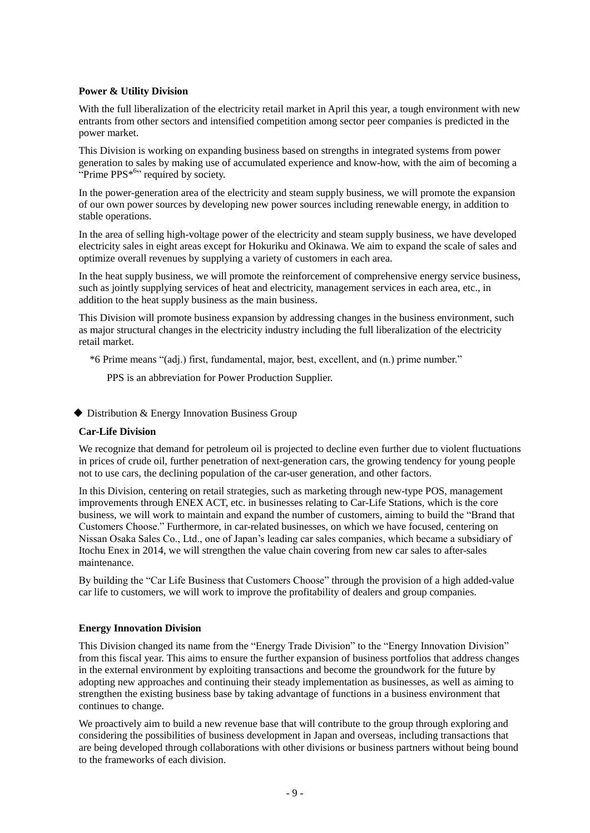### **Power & Utility Division**

With the full liberalization of the electricity retail market in April this year, a tough environment with new entrants from other sectors and intensified competition among sector peer companies is predicted in the power market.

This Division is working on expanding business based on strengths in integrated systems from power generation to sales by making use of accumulated experience and know-how, with the aim of becoming a "Prime PPS<sup>\*6</sup>" required by society.

In the power-generation area of the electricity and steam supply business, we will promote the expansion of our own power sources by developing new power sources including renewable energy, in addition to stable operations.

In the area of selling high-voltage power of the electricity and steam supply business, we have developed electricity sales in eight areas except for Hokuriku and Okinawa. We aim to expand the scale of sales and optimize overall revenues by supplying a variety of customers in each area.

In the heat supply business, we will promote the reinforcement of comprehensive energy service business, such as jointly supplying services of heat and electricity, management services in each area, etc., in addition to the heat supply business as the main business.

This Division will promote business expansion by addressing changes in the business environment, such as major structural changes in the electricity industry including the full liberalization of the electricity retail market.

\*6 Prime means "(adj.) first, fundamental, major, best, excellent, and (n.) prime number."

PPS is an abbreviation for Power Production Supplier.

◆ Distribution & Energy Innovation Business Group

#### **Car-Life Division**

We recognize that demand for petroleum oil is projected to decline even further due to violent fluctuations in prices of crude oil, further penetration of next-generation cars, the growing tendency for young people not to use cars, the declining population of the car-user generation, and other factors.

In this Division, centering on retail strategies, such as marketing through new-type POS, management improvements through ENEX ACT, etc. in businesses relating to Car-Life Stations, which is the core business, we will work to maintain and expand the number of customers, aiming to build the "Brand that Customers Choose.‖ Furthermore, in car-related businesses, on which we have focused, centering on Nissan Osaka Sales Co., Ltd., one of Japan's leading car sales companies, which became a subsidiary of Itochu Enex in 2014, we will strengthen the value chain covering from new car sales to after-sales maintenance.

By building the "Car Life Business that Customers Choose" through the provision of a high added-value car life to customers, we will work to improve the profitability of dealers and group companies.

#### **Energy Innovation Division**

This Division changed its name from the "Energy Trade Division" to the "Energy Innovation Division" from this fiscal year. This aims to ensure the further expansion of business portfolios that address changes in the external environment by exploiting transactions and become the groundwork for the future by adopting new approaches and continuing their steady implementation as businesses, as well as aiming to strengthen the existing business base by taking advantage of functions in a business environment that continues to change.

We proactively aim to build a new revenue base that will contribute to the group through exploring and considering the possibilities of business development in Japan and overseas, including transactions that are being developed through collaborations with other divisions or business partners without being bound to the frameworks of each division.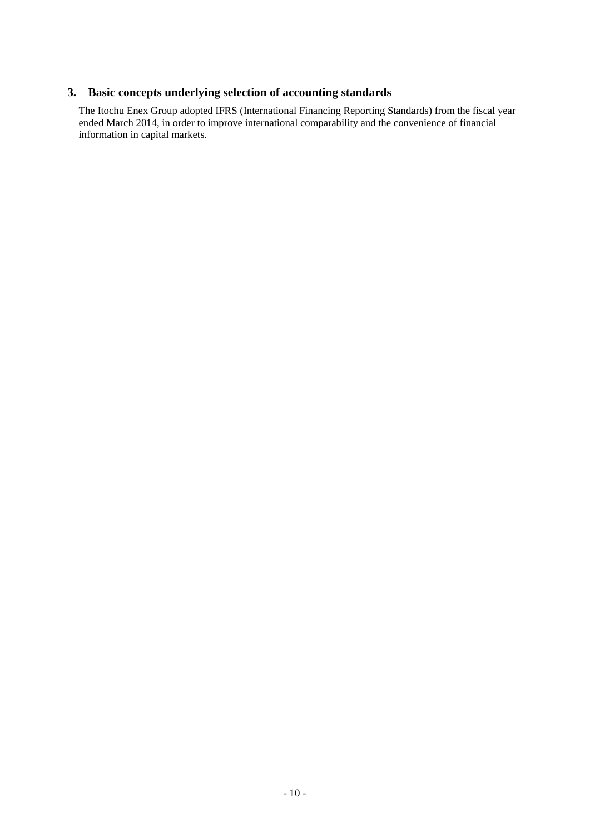# <span id="page-12-0"></span>**3. Basic concepts underlying selection of accounting standards**

The Itochu Enex Group adopted IFRS (International Financing Reporting Standards) from the fiscal year ended March 2014, in order to improve international comparability and the convenience of financial information in capital markets.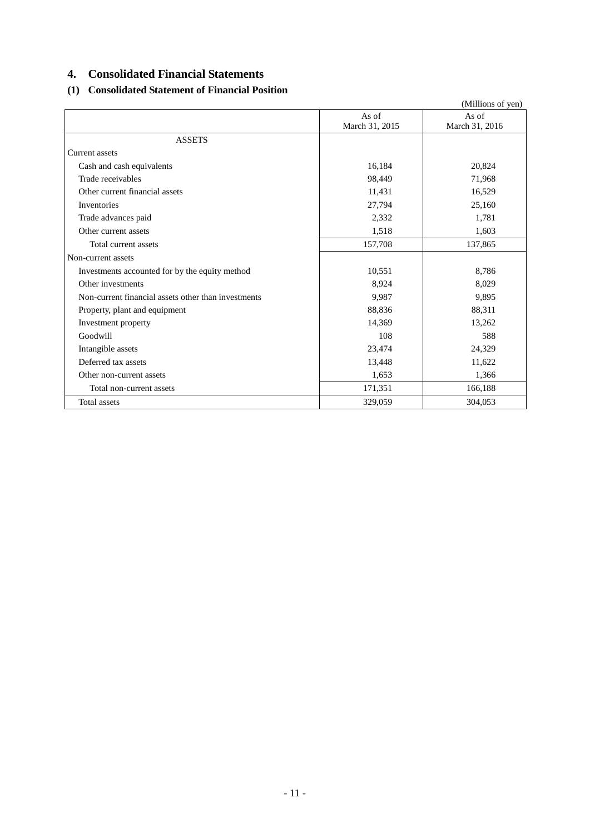# <span id="page-13-0"></span>**4. Consolidated Financial Statements**

# <span id="page-13-1"></span>**(1) Consolidated Statement of Financial Position**

|                                                     |                | (Millions of yen) |
|-----------------------------------------------------|----------------|-------------------|
|                                                     | As of          | As of             |
|                                                     | March 31, 2015 | March 31, 2016    |
| <b>ASSETS</b>                                       |                |                   |
| <b>Current</b> assets                               |                |                   |
| Cash and cash equivalents                           | 16,184         | 20,824            |
| Trade receivables                                   | 98,449         | 71,968            |
| Other current financial assets                      | 11,431         | 16,529            |
| Inventories                                         | 27,794         | 25,160            |
| Trade advances paid                                 | 2,332          | 1,781             |
| Other current assets                                | 1,518          | 1,603             |
| Total current assets                                | 157,708        | 137,865           |
| Non-current assets                                  |                |                   |
| Investments accounted for by the equity method      | 10,551         | 8,786             |
| Other investments                                   | 8,924          | 8,029             |
| Non-current financial assets other than investments | 9,987          | 9,895             |
| Property, plant and equipment                       | 88,836         | 88,311            |
| Investment property                                 | 14,369         | 13,262            |
| Goodwill                                            | 108            | 588               |
| Intangible assets                                   | 23,474         | 24,329            |
| Deferred tax assets                                 | 13,448         | 11,622            |
| Other non-current assets                            | 1,653          | 1,366             |
| Total non-current assets                            | 171,351        | 166,188           |
| Total assets                                        | 329,059        | 304,053           |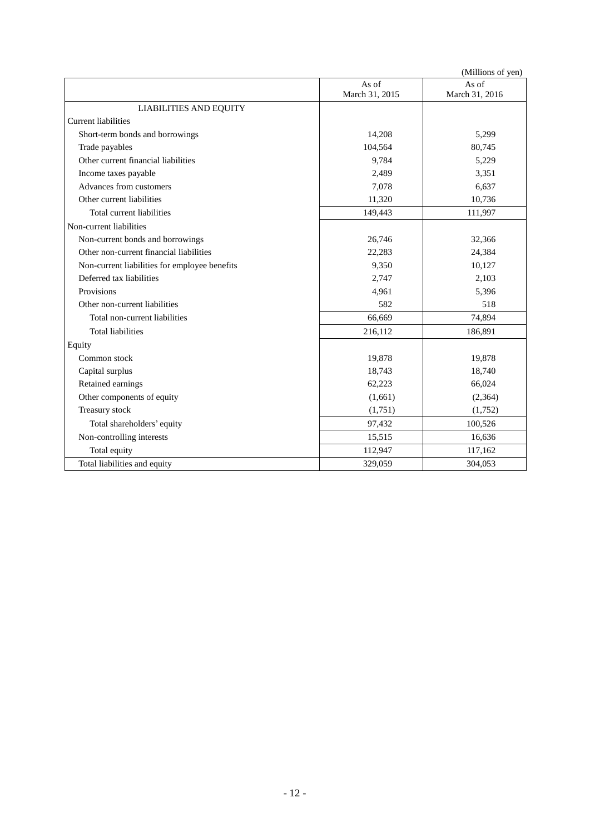|                                               |                | (Millions of yen) |  |  |  |  |  |
|-----------------------------------------------|----------------|-------------------|--|--|--|--|--|
|                                               | As of<br>As of |                   |  |  |  |  |  |
|                                               | March 31, 2015 | March 31, 2016    |  |  |  |  |  |
| <b>LIABILITIES AND EQUITY</b>                 |                |                   |  |  |  |  |  |
| <b>Current liabilities</b>                    |                |                   |  |  |  |  |  |
| Short-term bonds and borrowings               | 14,208         | 5,299             |  |  |  |  |  |
| Trade payables                                | 104,564        | 80,745            |  |  |  |  |  |
| Other current financial liabilities           | 9,784          | 5,229             |  |  |  |  |  |
| Income taxes payable                          | 2,489          | 3,351             |  |  |  |  |  |
| Advances from customers                       | 7,078          | 6,637             |  |  |  |  |  |
| Other current liabilities                     | 11,320         | 10,736            |  |  |  |  |  |
| Total current liabilities                     | 149,443        | 111,997           |  |  |  |  |  |
| Non-current liabilities                       |                |                   |  |  |  |  |  |
| Non-current bonds and borrowings              | 26,746         | 32,366            |  |  |  |  |  |
| Other non-current financial liabilities       | 22,283         | 24,384            |  |  |  |  |  |
| Non-current liabilities for employee benefits | 9,350          | 10,127            |  |  |  |  |  |
| Deferred tax liabilities                      | 2,747          | 2,103             |  |  |  |  |  |
| Provisions                                    | 4.961          | 5,396             |  |  |  |  |  |
| Other non-current liabilities                 | 582            | 518               |  |  |  |  |  |
| Total non-current liabilities                 | 66,669         | 74,894            |  |  |  |  |  |
| <b>Total liabilities</b>                      | 216,112        | 186,891           |  |  |  |  |  |
| Equity                                        |                |                   |  |  |  |  |  |
| Common stock                                  | 19,878         | 19,878            |  |  |  |  |  |
| Capital surplus                               | 18,743         | 18,740            |  |  |  |  |  |
| Retained earnings                             | 62,223         | 66,024            |  |  |  |  |  |
| Other components of equity                    | (1,661)        | (2,364)           |  |  |  |  |  |
| Treasury stock                                | (1,751)        | (1,752)           |  |  |  |  |  |
| Total shareholders' equity                    | 97,432         | 100,526           |  |  |  |  |  |
| Non-controlling interests                     | 15,515         | 16,636            |  |  |  |  |  |
| Total equity                                  | 112,947        | 117,162           |  |  |  |  |  |
| Total liabilities and equity                  | 329,059        | 304,053           |  |  |  |  |  |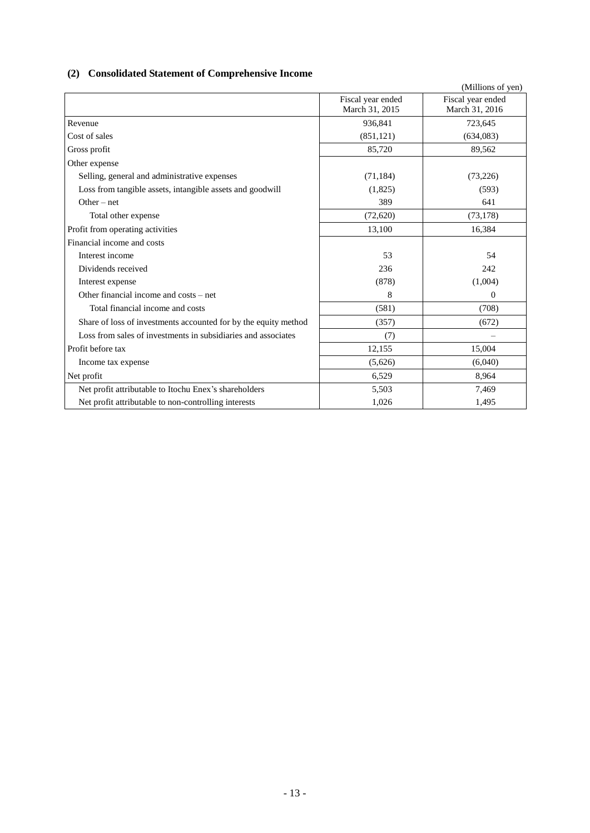# <span id="page-15-0"></span>**(2) Consolidated Statement of Comprehensive Income**

|                                                                 |                                     | (Millions of yen)                   |
|-----------------------------------------------------------------|-------------------------------------|-------------------------------------|
|                                                                 | Fiscal year ended<br>March 31, 2015 | Fiscal year ended<br>March 31, 2016 |
| Revenue                                                         | 936,841                             | 723,645                             |
| Cost of sales                                                   | (851, 121)                          | (634,083)                           |
| Gross profit                                                    | 85,720                              | 89,562                              |
| Other expense                                                   |                                     |                                     |
| Selling, general and administrative expenses                    | (71, 184)                           | (73,226)                            |
| Loss from tangible assets, intangible assets and goodwill       | (1,825)                             | (593)                               |
| $Other-net$                                                     | 389                                 | 641                                 |
| Total other expense                                             | (72,620)                            | (73, 178)                           |
| Profit from operating activities                                | 13,100                              | 16,384                              |
| Financial income and costs                                      |                                     |                                     |
| Interest income                                                 | 53                                  | 54                                  |
| Dividends received                                              | 236                                 | 242                                 |
| Interest expense                                                | (878)                               | (1,004)                             |
| Other financial income and costs – net                          | 8                                   | $\Omega$                            |
| Total financial income and costs                                | (581)                               | (708)                               |
| Share of loss of investments accounted for by the equity method | (357)                               | (672)                               |
| Loss from sales of investments in subsidiaries and associates   | (7)                                 | —                                   |
| Profit before tax                                               | 12,155                              | 15,004                              |
| Income tax expense                                              | (5,626)                             | (6,040)                             |
| Net profit                                                      | 6,529                               | 8,964                               |
| Net profit attributable to Itochu Enex's shareholders           | 5,503                               | 7,469                               |
| Net profit attributable to non-controlling interests            | 1,026                               | 1,495                               |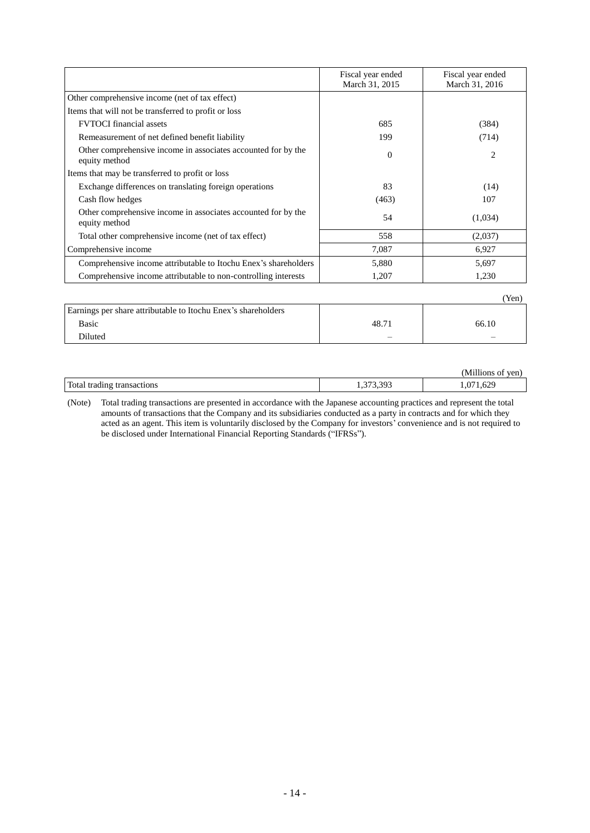|                                                                                | Fiscal year ended<br>March 31, 2015 | Fiscal year ended<br>March 31, 2016 |
|--------------------------------------------------------------------------------|-------------------------------------|-------------------------------------|
| Other comprehensive income (net of tax effect)                                 |                                     |                                     |
| Items that will not be transferred to profit or loss                           |                                     |                                     |
| <b>FVTOCI</b> financial assets                                                 | 685                                 | (384)                               |
| Remeasurement of net defined benefit liability                                 | 199                                 | (714)                               |
| Other comprehensive income in associates accounted for by the<br>equity method | $\overline{0}$                      | 2                                   |
| Items that may be transferred to profit or loss                                |                                     |                                     |
| Exchange differences on translating foreign operations                         | 83                                  | (14)                                |
| Cash flow hedges                                                               | (463)                               | 107                                 |
| Other comprehensive income in associates accounted for by the<br>equity method | 54                                  | (1,034)                             |
| Total other comprehensive income (net of tax effect)                           | 558                                 | (2,037)                             |
| Comprehensive income                                                           | 7,087                               | 6,927                               |
| Comprehensive income attributable to Itochu Enex's shareholders                | 5,880                               | 5,697                               |
| Comprehensive income attributable to non-controlling interests                 | 1,207                               | 1,230                               |
|                                                                                |                                     | (Yen)                               |
| Earnings per share attributable to Itochu Enex's shareholders                  |                                     |                                     |
| <b>Basic</b>                                                                   | 48.71                               | 66.10                               |

|                            |     | Millions<br>ven<br>. of |
|----------------------------|-----|-------------------------|
| Total trading transactions | ، ب | <າດ<br>1,02.            |

Diluted – –

(Note) Total trading transactions are presented in accordance with the Japanese accounting practices and represent the total amounts of transactions that the Company and its subsidiaries conducted as a party in contracts and for which they acted as an agent. This item is voluntarily disclosed by the Company for investors' convenience and is not required to be disclosed under International Financial Reporting Standards ("IFRSs").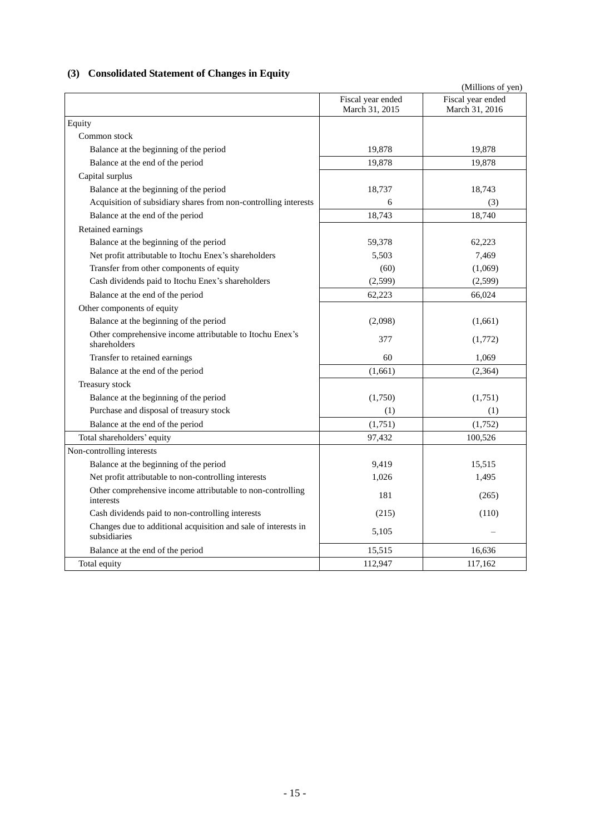# <span id="page-17-0"></span>**(3) Consolidated Statement of Changes in Equity**

|                                                                                |                                     | (Millions of yen)                   |
|--------------------------------------------------------------------------------|-------------------------------------|-------------------------------------|
|                                                                                | Fiscal year ended<br>March 31, 2015 | Fiscal year ended<br>March 31, 2016 |
| Equity                                                                         |                                     |                                     |
| Common stock                                                                   |                                     |                                     |
| Balance at the beginning of the period                                         | 19,878                              | 19,878                              |
| Balance at the end of the period                                               | 19,878                              | 19,878                              |
| Capital surplus                                                                |                                     |                                     |
| Balance at the beginning of the period                                         | 18,737                              | 18,743                              |
| Acquisition of subsidiary shares from non-controlling interests                | 6                                   | (3)                                 |
| Balance at the end of the period                                               | 18,743                              | 18,740                              |
| Retained earnings                                                              |                                     |                                     |
| Balance at the beginning of the period                                         | 59,378                              | 62,223                              |
| Net profit attributable to Itochu Enex's shareholders                          | 5,503                               | 7,469                               |
| Transfer from other components of equity                                       | (60)                                | (1,069)                             |
| Cash dividends paid to Itochu Enex's shareholders                              | (2,599)                             | (2,599)                             |
| Balance at the end of the period                                               | 62,223                              | 66,024                              |
| Other components of equity                                                     |                                     |                                     |
| Balance at the beginning of the period                                         | (2,098)                             | (1,661)                             |
| Other comprehensive income attributable to Itochu Enex's<br>shareholders       | 377                                 | (1,772)                             |
| Transfer to retained earnings                                                  | 60                                  | 1,069                               |
| Balance at the end of the period                                               | (1,661)                             | (2, 364)                            |
| Treasury stock                                                                 |                                     |                                     |
| Balance at the beginning of the period                                         | (1,750)                             | (1,751)                             |
| Purchase and disposal of treasury stock                                        | (1)                                 | (1)                                 |
| Balance at the end of the period                                               | (1,751)                             | (1,752)                             |
| Total shareholders' equity                                                     | 97,432                              | 100,526                             |
| Non-controlling interests                                                      |                                     |                                     |
| Balance at the beginning of the period                                         | 9,419                               | 15,515                              |
| Net profit attributable to non-controlling interests                           | 1.026                               | 1,495                               |
| Other comprehensive income attributable to non-controlling<br>interests        | 181                                 | (265)                               |
| Cash dividends paid to non-controlling interests                               | (215)                               | (110)                               |
| Changes due to additional acquisition and sale of interests in<br>subsidiaries | 5,105                               |                                     |
| Balance at the end of the period                                               | 15,515                              | 16,636                              |
| Total equity                                                                   | 112,947                             | 117,162                             |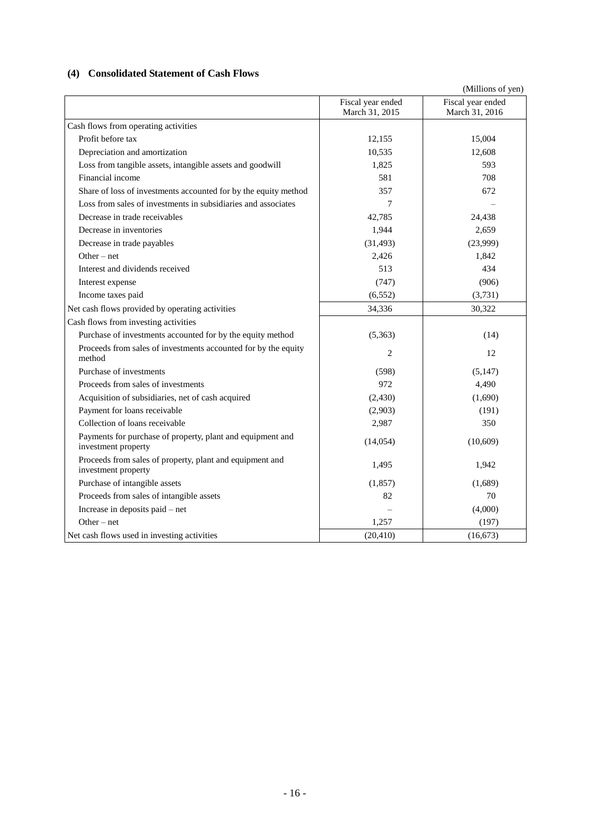# <span id="page-18-0"></span>**(4) Consolidated Statement of Cash Flows**

|                                                                                   |                                     | (Millions of yen)                   |
|-----------------------------------------------------------------------------------|-------------------------------------|-------------------------------------|
|                                                                                   | Fiscal year ended<br>March 31, 2015 | Fiscal year ended<br>March 31, 2016 |
| Cash flows from operating activities                                              |                                     |                                     |
| Profit before tax                                                                 | 12,155                              | 15,004                              |
| Depreciation and amortization                                                     | 10,535                              | 12,608                              |
| Loss from tangible assets, intangible assets and goodwill                         | 1,825                               | 593                                 |
| Financial income                                                                  | 581                                 | 708                                 |
| Share of loss of investments accounted for by the equity method                   | 357                                 | 672                                 |
| Loss from sales of investments in subsidiaries and associates                     | 7                                   |                                     |
| Decrease in trade receivables                                                     | 42,785                              | 24,438                              |
| Decrease in inventories                                                           | 1,944                               | 2,659                               |
| Decrease in trade payables                                                        | (31, 493)                           | (23,999)                            |
| $Other-net$                                                                       | 2,426                               | 1,842                               |
| Interest and dividends received                                                   | 513                                 | 434                                 |
| Interest expense                                                                  | (747)                               | (906)                               |
| Income taxes paid                                                                 | (6, 552)                            | (3,731)                             |
| Net cash flows provided by operating activities                                   | 34,336                              | 30,322                              |
| Cash flows from investing activities                                              |                                     |                                     |
| Purchase of investments accounted for by the equity method                        | (5,363)                             | (14)                                |
| Proceeds from sales of investments accounted for by the equity<br>method          | 2                                   | 12                                  |
| Purchase of investments                                                           | (598)                               | (5,147)                             |
| Proceeds from sales of investments                                                | 972                                 | 4,490                               |
| Acquisition of subsidiaries, net of cash acquired                                 | (2,430)                             | (1,690)                             |
| Payment for loans receivable                                                      | (2,903)                             | (191)                               |
| Collection of loans receivable                                                    | 2,987                               | 350                                 |
| Payments for purchase of property, plant and equipment and<br>investment property | (14, 054)                           | (10,609)                            |
| Proceeds from sales of property, plant and equipment and<br>investment property   | 1,495                               | 1,942                               |
| Purchase of intangible assets                                                     | (1, 857)                            | (1,689)                             |
| Proceeds from sales of intangible assets                                          | 82                                  | 70                                  |
| Increase in deposits paid - net                                                   |                                     | (4,000)                             |
| Other $-$ net                                                                     | 1,257                               | (197)                               |
| Net cash flows used in investing activities                                       | (20, 410)                           | (16, 673)                           |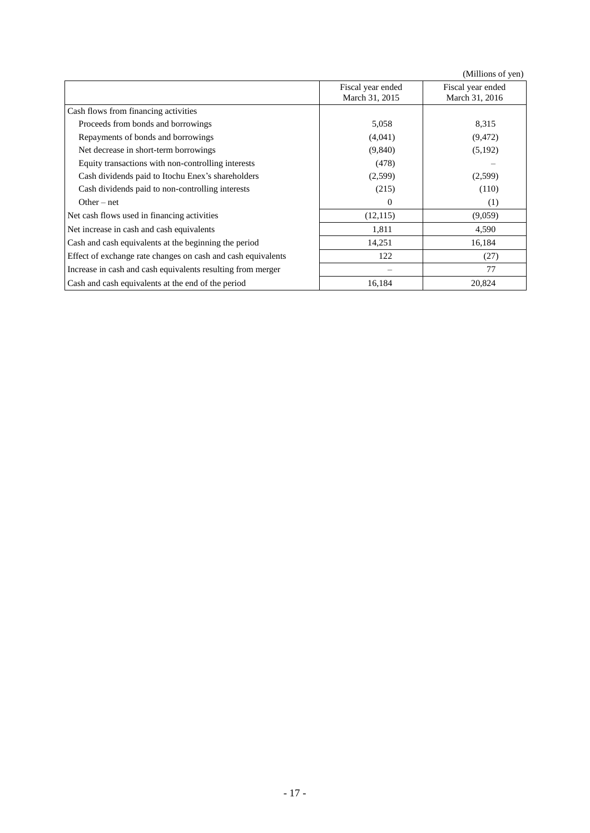(Millions of yen)

|                                                              |                                     | (                                   |
|--------------------------------------------------------------|-------------------------------------|-------------------------------------|
|                                                              | Fiscal year ended<br>March 31, 2015 | Fiscal year ended<br>March 31, 2016 |
| Cash flows from financing activities                         |                                     |                                     |
| Proceeds from bonds and borrowings                           | 5,058                               | 8,315                               |
| Repayments of bonds and borrowings                           | (4,041)                             | (9, 472)                            |
| Net decrease in short-term borrowings                        | (9,840)                             | (5,192)                             |
| Equity transactions with non-controlling interests           | (478)                               |                                     |
| Cash dividends paid to Itochu Enex's shareholders            | (2,599)                             | (2,599)                             |
| Cash dividends paid to non-controlling interests             | (215)                               | (110)                               |
| Other $-$ net                                                | $\mathbf{0}$                        | (1)                                 |
| Net cash flows used in financing activities                  | (12, 115)                           | (9,059)                             |
| Net increase in cash and cash equivalents                    | 1,811                               | 4,590                               |
| Cash and cash equivalents at the beginning the period        | 14,251                              | 16,184                              |
| Effect of exchange rate changes on cash and cash equivalents | 122                                 | (27)                                |
| Increase in cash and cash equivalents resulting from merger  |                                     | 77                                  |
| Cash and cash equivalents at the end of the period           | 16,184                              | 20,824                              |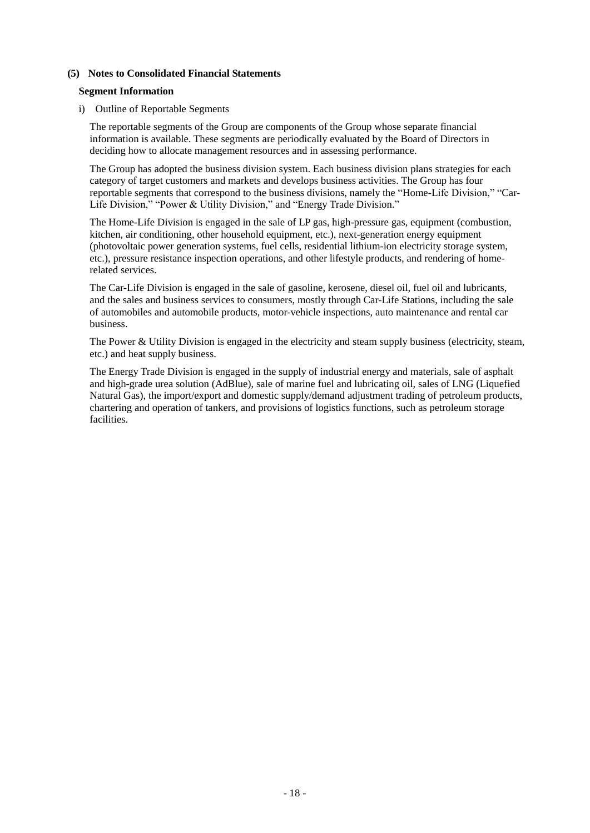#### <span id="page-20-0"></span>**(5) Notes to Consolidated Financial Statements**

#### <span id="page-20-1"></span>**Segment Information**

#### i) Outline of Reportable Segments

The reportable segments of the Group are components of the Group whose separate financial information is available. These segments are periodically evaluated by the Board of Directors in deciding how to allocate management resources and in assessing performance.

The Group has adopted the business division system. Each business division plans strategies for each category of target customers and markets and develops business activities. The Group has four reportable segments that correspond to the business divisions, namely the "Home-Life Division," "Car-Life Division," "Power & Utility Division," and "Energy Trade Division."

The Home-Life Division is engaged in the sale of LP gas, high-pressure gas, equipment (combustion, kitchen, air conditioning, other household equipment, etc.), next-generation energy equipment (photovoltaic power generation systems, fuel cells, residential lithium-ion electricity storage system, etc.), pressure resistance inspection operations, and other lifestyle products, and rendering of homerelated services.

The Car-Life Division is engaged in the sale of gasoline, kerosene, diesel oil, fuel oil and lubricants, and the sales and business services to consumers, mostly through Car-Life Stations, including the sale of automobiles and automobile products, motor-vehicle inspections, auto maintenance and rental car business.

The Power & Utility Division is engaged in the electricity and steam supply business (electricity, steam, etc.) and heat supply business.

The Energy Trade Division is engaged in the supply of industrial energy and materials, sale of asphalt and high-grade urea solution (AdBlue), sale of marine fuel and lubricating oil, sales of LNG (Liquefied Natural Gas), the import/export and domestic supply/demand adjustment trading of petroleum products, chartering and operation of tankers, and provisions of logistics functions, such as petroleum storage **facilities**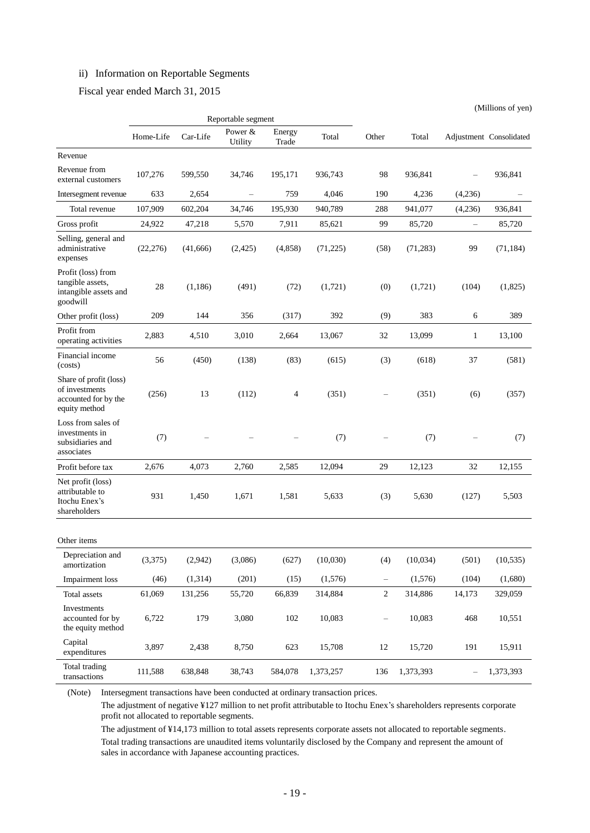# ii) Information on Reportable Segments

Fiscal year ended March 31, 2015

|                                                                                   |           |          |                               |         |           |                   |           | (Millions of yen) |                         |
|-----------------------------------------------------------------------------------|-----------|----------|-------------------------------|---------|-----------|-------------------|-----------|-------------------|-------------------------|
|                                                                                   |           |          | Reportable segment<br>Power & | Energy  |           |                   |           |                   |                         |
|                                                                                   | Home-Life | Car-Life | Utility                       | Trade   | Total     | Other             | Total     |                   | Adjustment Consolidated |
| Revenue                                                                           |           |          |                               |         |           |                   |           |                   |                         |
| Revenue from<br>external customers                                                | 107,276   | 599,550  | 34,746                        | 195,171 | 936,743   | 98                | 936,841   |                   | 936,841                 |
| Intersegment revenue                                                              | 633       | 2,654    | $\overline{\phantom{0}}$      | 759     | 4,046     | 190               | 4,236     | (4,236)           |                         |
| Total revenue                                                                     | 107,909   | 602,204  | 34,746                        | 195,930 | 940,789   | 288               | 941,077   | (4,236)           | 936,841                 |
| Gross profit                                                                      | 24,922    | 47,218   | 5,570                         | 7,911   | 85,621    | 99                | 85,720    | $\qquad \qquad -$ | 85,720                  |
| Selling, general and<br>administrative<br>expenses                                | (22, 276) | (41,666) | (2,425)                       | (4,858) | (71, 225) | (58)              | (71, 283) | 99                | (71, 184)               |
| Profit (loss) from<br>tangible assets,<br>intangible assets and<br>goodwill       | 28        | (1,186)  | (491)                         | (72)    | (1,721)   | (0)               | (1,721)   | (104)             | (1,825)                 |
| Other profit (loss)                                                               | 209       | 144      | 356                           | (317)   | 392       | (9)               | 383       | 6                 | 389                     |
| Profit from<br>operating activities                                               | 2,883     | 4,510    | 3,010                         | 2,664   | 13,067    | 32                | 13,099    | $\mathbf{1}$      | 13,100                  |
| Financial income<br>(costs)                                                       | 56        | (450)    | (138)                         | (83)    | (615)     | (3)               | (618)     | 37                | (581)                   |
| Share of profit (loss)<br>of investments<br>accounted for by the<br>equity method | (256)     | 13       | (112)                         | 4       | (351)     |                   | (351)     | (6)               | (357)                   |
| Loss from sales of<br>investments in<br>subsidiaries and<br>associates            | (7)       |          |                               |         | (7)       |                   | (7)       |                   | (7)                     |
| Profit before tax                                                                 | 2,676     | 4,073    | 2,760                         | 2,585   | 12,094    | 29                | 12,123    | 32                | 12,155                  |
| Net profit (loss)<br>attributable to<br>Itochu Enex's<br>shareholders             | 931       | 1,450    | 1,671                         | 1,581   | 5,633     | (3)               | 5,630     | (127)             | 5,503                   |
| Other items                                                                       |           |          |                               |         |           |                   |           |                   |                         |
| Depreciation and<br>amortization                                                  | (3,375)   | (2,942)  | (3,086)                       | (627)   | (10,030)  | (4)               | (10,034)  | (501)             | (10, 535)               |
| <b>Impairment</b> loss                                                            | (46)      | (1,314)  | (201)                         | (15)    | (1,576)   | $\qquad \qquad -$ | (1,576)   | (104)             | (1,680)                 |
| Total assets                                                                      | 61,069    | 131,256  | 55,720                        | 66,839  | 314,884   | $\overline{2}$    | 314,886   | 14,173            | 329,059                 |
| Investments<br>accounted for by<br>the equity method                              | 6,722     | 179      | 3,080                         | $102\,$ | 10,083    | $\qquad \qquad -$ | 10,083    | 468               | 10,551                  |
| Capital<br>expenditures                                                           | 3,897     | 2,438    | 8,750                         | 623     | 15,708    | 12                | 15,720    | 191               | 15,911                  |
| Total trading<br>transactions                                                     | 111,588   | 638,848  | 38,743                        | 584,078 | 1,373,257 | 136               | 1,373,393 |                   | 1,373,393               |

(Note) Intersegment transactions have been conducted at ordinary transaction prices.

The adjustment of negative ¥127 million to net profit attributable to Itochu Enex's shareholders represents corporate profit not allocated to reportable segments.

The adjustment of ¥14,173 million to total assets represents corporate assets not allocated to reportable segments. Total trading transactions are unaudited items voluntarily disclosed by the Company and represent the amount of sales in accordance with Japanese accounting practices.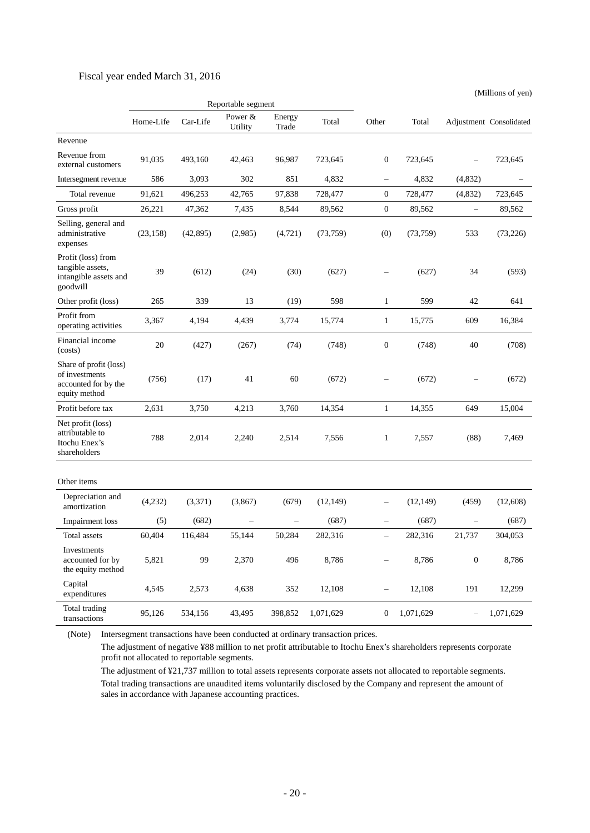### Fiscal year ended March 31, 2016

(Millions of yen)

|                                                                                   | Reportable segment |           |                      |                 |           |                          |           |                  |                         |
|-----------------------------------------------------------------------------------|--------------------|-----------|----------------------|-----------------|-----------|--------------------------|-----------|------------------|-------------------------|
|                                                                                   | Home-Life          | Car-Life  | Power $&$<br>Utility | Energy<br>Trade | Total     | Other                    | Total     |                  | Adjustment Consolidated |
| Revenue                                                                           |                    |           |                      |                 |           |                          |           |                  |                         |
| Revenue from<br>external customers                                                | 91,035             | 493,160   | 42,463               | 96,987          | 723,645   | $\boldsymbol{0}$         | 723,645   |                  | 723,645                 |
| Intersegment revenue                                                              | 586                | 3,093     | 302                  | 851             | 4,832     | $\overline{\phantom{0}}$ | 4,832     | (4,832)          |                         |
| Total revenue                                                                     | 91,621             | 496,253   | 42,765               | 97,838          | 728,477   | $\boldsymbol{0}$         | 728,477   | (4,832)          | 723,645                 |
| Gross profit                                                                      | 26,221             | 47,362    | 7,435                | 8,544           | 89,562    | $\boldsymbol{0}$         | 89,562    | ÷,               | 89,562                  |
| Selling, general and<br>administrative<br>expenses                                | (23, 158)          | (42, 895) | (2,985)              | (4, 721)        | (73,759)  | (0)                      | (73,759)  | 533              | (73,226)                |
| Profit (loss) from<br>tangible assets,<br>intangible assets and<br>goodwill       | 39                 | (612)     | (24)                 | (30)            | (627)     |                          | (627)     | 34               | (593)                   |
| Other profit (loss)                                                               | 265                | 339       | 13                   | (19)            | 598       | $\mathbf{1}$             | 599       | 42               | 641                     |
| Profit from<br>operating activities                                               | 3,367              | 4,194     | 4,439                | 3,774           | 15,774    | $\mathbf{1}$             | 15,775    | 609              | 16,384                  |
| Financial income<br>(costs)                                                       | 20                 | (427)     | (267)                | (74)            | (748)     | $\boldsymbol{0}$         | (748)     | 40               | (708)                   |
| Share of profit (loss)<br>of investments<br>accounted for by the<br>equity method | (756)              | (17)      | 41                   | 60              | (672)     |                          | (672)     |                  | (672)                   |
| Profit before tax                                                                 | 2,631              | 3,750     | 4,213                | 3,760           | 14,354    | $\mathbf{1}$             | 14,355    | 649              | 15,004                  |
| Net profit (loss)<br>attributable to<br>Itochu Enex's<br>shareholders             | 788                | 2,014     | 2,240                | 2,514           | 7,556     | 1                        | 7,557     | (88)             | 7,469                   |
| Other items                                                                       |                    |           |                      |                 |           |                          |           |                  |                         |
| Depreciation and<br>amortization                                                  | (4,232)            | (3,371)   | (3,867)              | (679)           | (12, 149) | $\overline{\phantom{0}}$ | (12, 149) | (459)            | (12,608)                |
| Impairment loss                                                                   | (5)                | (682)     |                      |                 | (687)     | $\overline{\phantom{0}}$ | (687)     |                  | (687)                   |
| Total assets                                                                      | 60,404             | 116,484   | 55.144               | 50,284          | 282,316   | -                        | 282,316   | 21,737           | 304,053                 |
| Investments<br>accounted for by<br>the equity method                              | 5,821              | 99        | 2,370                | 496             | 8,786     |                          | 8,786     | $\boldsymbol{0}$ | 8,786                   |
| Capital<br>expenditures                                                           | 4,545              | 2,573     | 4,638                | 352             | 12,108    | $\overline{\phantom{0}}$ | 12,108    | 191              | 12,299                  |
| Total trading<br>transactions                                                     | 95,126             | 534,156   | 43,495               | 398,852         | 1,071,629 | $\boldsymbol{0}$         | 1,071,629 |                  | 1,071,629               |

(Note) Intersegment transactions have been conducted at ordinary transaction prices.

The adjustment of negative ¥88 million to net profit attributable to Itochu Enex's shareholders represents corporate profit not allocated to reportable segments.

The adjustment of ¥21,737 million to total assets represents corporate assets not allocated to reportable segments. Total trading transactions are unaudited items voluntarily disclosed by the Company and represent the amount of sales in accordance with Japanese accounting practices.